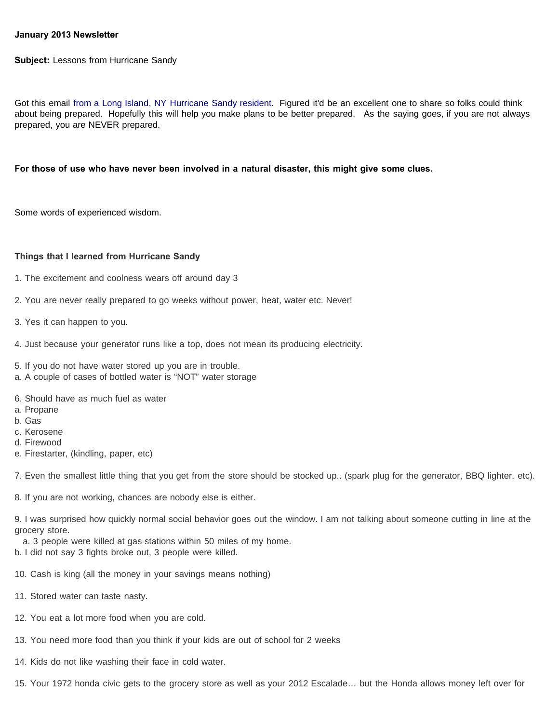## **January 2013 Newsletter**

**Subject:** Lessons from Hurricane Sandy

Got this email from a Long Island, NY Hurricane Sandy resident. Figured it'd be an excellent one to share so folks could think about being prepared. Hopefully this will help you make plans to be better prepared. As the saying goes, if you are not always prepared, you are NEVER prepared.

## **For those of use who have never been involved in a natural disaster, this might give some clues.**

Some words of experienced wisdom.

## **Things that I learned from Hurricane Sandy**

- 1. The excitement and coolness wears off around day 3
- 2. You are never really prepared to go weeks without power, heat, water etc. Never!
- 3. Yes it can happen to you.
- 4. Just because your generator runs like a top, does not mean its producing electricity.
- 5. If you do not have water stored up you are in trouble.
- a. A couple of cases of bottled water is "NOT" water storage
- 6. Should have as much fuel as water
- a. Propane
- b. Gas
- c. Kerosene
- d. Firewood
- e. Firestarter, (kindling, paper, etc)

7. Even the smallest little thing that you get from the store should be stocked up.. (spark plug for the generator, BBQ lighter, etc).

8. If you are not working, chances are nobody else is either.

9. I was surprised how quickly normal social behavior goes out the window. I am not talking about someone cutting in line at the grocery store.

- a. 3 people were killed at gas stations within 50 miles of my home.
- b. I did not say 3 fights broke out, 3 people were killed.
- 10. Cash is king (all the money in your savings means nothing)
- 11. Stored water can taste nasty.
- 12. You eat a lot more food when you are cold.
- 13. You need more food than you think if your kids are out of school for 2 weeks
- 14. Kids do not like washing their face in cold water.

15. Your 1972 honda civic gets to the grocery store as well as your 2012 Escalade… but the Honda allows money left over for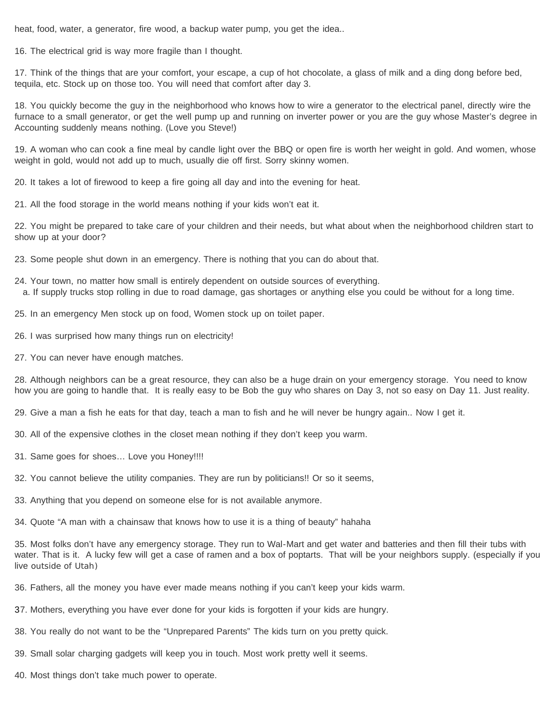heat, food, water, a generator, fire wood, a backup water pump, you get the idea..

16. The electrical grid is way more fragile than I thought.

17. Think of the things that are your comfort, your escape, a cup of hot chocolate, a glass of milk and a ding dong before bed, tequila, etc. Stock up on those too. You will need that comfort after day 3.

18. You quickly become the guy in the neighborhood who knows how to wire a generator to the electrical panel, directly wire the furnace to a small generator, or get the well pump up and running on inverter power or you are the guy whose Master's degree in Accounting suddenly means nothing. (Love you Steve!)

19. A woman who can cook a fine meal by candle light over the BBQ or open fire is worth her weight in gold. And women, whose weight in gold, would not add up to much, usually die off first. Sorry skinny women.

20. It takes a lot of firewood to keep a fire going all day and into the evening for heat.

21. All the food storage in the world means nothing if your kids won't eat it.

22. You might be prepared to take care of your children and their needs, but what about when the neighborhood children start to show up at your door?

- 23. Some people shut down in an emergency. There is nothing that you can do about that.
- 24. Your town, no matter how small is entirely dependent on outside sources of everything. a. If supply trucks stop rolling in due to road damage, gas shortages or anything else you could be without for a long time.
- 25. In an emergency Men stock up on food, Women stock up on toilet paper.
- 26. I was surprised how many things run on electricity!
- 27. You can never have enough matches.

28. Although neighbors can be a great resource, they can also be a huge drain on your emergency storage. You need to know how you are going to handle that. It is really easy to be Bob the guy who shares on Day 3, not so easy on Day 11. Just reality.

29. Give a man a fish he eats for that day, teach a man to fish and he will never be hungry again.. Now I get it.

- 30. All of the expensive clothes in the closet mean nothing if they don't keep you warm.
- 31. Same goes for shoes… Love you Honey!!!!
- 32. You cannot believe the utility companies. They are run by politicians!! Or so it seems,
- 33. Anything that you depend on someone else for is not available anymore.
- 34. Quote "A man with a chainsaw that knows how to use it is a thing of beauty" hahaha

35. Most folks don't have any emergency storage. They run to Wal-Mart and get water and batteries and then fill their tubs with water. That is it. A lucky few will get a case of ramen and a box of poptarts. That will be your neighbors supply. (especially if you live outside of Utah)

36. Fathers, all the money you have ever made means nothing if you can't keep your kids warm.

- 37. Mothers, everything you have ever done for your kids is forgotten if your kids are hungry.
- 38. You really do not want to be the "Unprepared Parents" The kids turn on you pretty quick.
- 39. Small solar charging gadgets will keep you in touch. Most work pretty well it seems.
- 40. Most things don't take much power to operate.